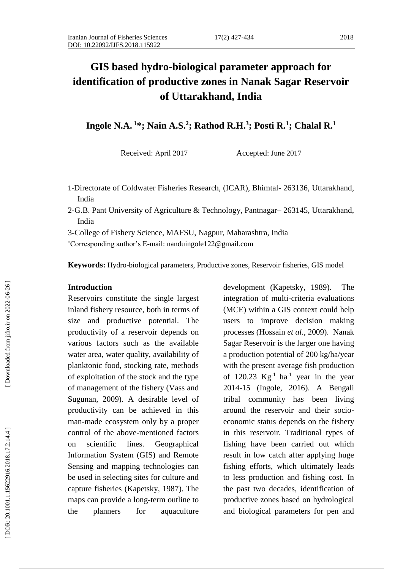# **GIS based hydro -biological parameter approach for identification of productive zones in Nanak Sagar Reservoir of Uttarakhand, India**

**Ingole N .A. <sup>1</sup>\*; Nain A.S. 2 ; Rathod R .H. 3 ; Posti R . 1 ; Chalal R . 1**

Received: April 2017 Accepted: June 2017

- 1 -Directorate of Coldwater Fisheries Research, (ICAR), Bhimtal 263136, Uttarakhand, India
- 2 -G.B. Pant University of Agriculture & Technology, Pantnagar 263145, Uttarakhand, India
- 3 -College of Fishery Science, MAFSU, Nagpur, Maharashtra, India

Corresponding author's E -mail: [nanduingole122@gmail.com](mailto:nanduingole122@gmail.com)

Keywords: Hydro-biological parameters, Productive zones, Reservoir fisheries, GIS model

#### **Introduction**

Reservoirs constitute the single largest inland fishery resource, both in terms of size and productive potential. The productivity of a reservoir depends on various factors such as the available water area, water quality, availability of planktonic food, stocking rate, methods of exploitation of the stock and the type of management of the fishery (Vass and Sugunan, 2009). A desirable level of productivity can be achieved in this man -made ecosystem only by a proper control of the above -mentioned factors on scientific lines. Geographical Information System (GIS) and Remote Sensing and mapping technologies can be used in selecting sites for culture and capture fisheries (Kapetsky, 1987). The maps can provide a long -term outline to the planners for aquaculture

development (Kapetsky, 1989). The integration of multi -criteria evaluations (MCE) within a GIS context could help users to improve decision making processes (Hossain *et al.,* 2009). Nanak Sagar Reservoir is the larger one having a production potential of 200 kg/ha/year with the present average fish production of  $120.23 \text{ Kg}^{-1}$  ha<sup>-1</sup> year in the year 2014 -15 (Ingole, 2016). A Bengali tribal community has been living around the reservoir and their socio economic status depends on the fishery in this reservoir. Traditional types of fishing have been carried out which result in low catch after applying huge fishing efforts, which ultimately leads to less production and fishing cost. In the past two decades, identification of productive zones based on hydrological and biological parameters for pen and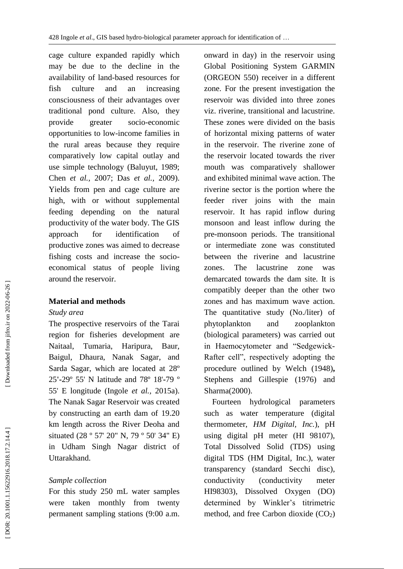cage culture expanded rapidly which may be due to the decline in the availability of land -based resources for fish culture and an increasing consciousness of their advantages over traditional pond culture. Also, they provide greater socio-economic opportunities to low -income families in the rural areas because they require comparatively low capital outlay and use simple technology (Baluyut, 1989; Chen *et al.,* 2007 ; Das *et al.,* 2009). Yields from pen and cage culture are high, with or without supplemental feeding depending on the natural productivity of the water body. The GIS approach for identification of productive zones was aimed to decrease fishing costs and increase the socio economical status of people living around the reservoir.

## **Material and methods**

### *Study area*

The prospective reservoirs of the Tarai region for fisheries development are Naitaal, Tumaria, Haripura, Baur, Baigul, Dhaura, Nanak Sagar, and Sarda Sagar, which are located at 28º 25 **' -**29º 55' N latitude and 78º 18'**-**79 º 55' E longitude (Ingole *et al.,* 2015a). The Nanak Sagar Reservoir was created by constructing an earth dam of 19.20 km length across the River Deoha and situated (28 º 57' 20" N, 79 º 50' 34" E) in Udham Singh Nagar district of Uttarakhand.

## *Sample collection*

For this study 250 m L water samples were taken monthly from twenty permanent sampling stations (9:00 a.m.

onward in day) in the reservoir using Global Positioning System GARMIN (ORGEON 550) receiver in a different zone. For the present investigation the reservoir was divided into three zones viz. riverine, transitional and lacustrine. These zones were divided on the basis of horizontal mixing patterns of water in the reservoir. The riverine zone of the reservoir located towards the river mouth was comparatively shallower and exhibited minimal wave action. The riverine sector is the portion where the feeder river joins with the main reservoir. It has rapid inflow during monsoon and least inflow during the pre -monsoon periods. The transitional or intermediate zone was constituted between the riverine and lacustrine zones. The lacustrine zone was demarcated towards the dam site. It is compatibly deeper than the other two zones and has maximum wave action. The quantitative study (No./liter) of phytoplankton and zooplankton (biological parameters) was carried out in Haemocytometer and "Sedgewick - Rafter cell", respectively adopting the procedure outlined by Welch (1948 ) **,** Stephens and Gillespie (1976 ) and Sharma (2000 ) .

 Fourteen hydrological parameters such as water temperature (digital thermometer, *HM Digital, Inc.*), pH using digital pH meter (HI 98107), Total Dissolved Solid (TDS) using digital TDS (HM Digital, Inc.), water transparency (standard Secchi disc), conductivity (conductivity meter HI98303), Dissolved Oxygen (DO) determined by Winkler's titrimetric method, and free Carbon dioxide (CO 2)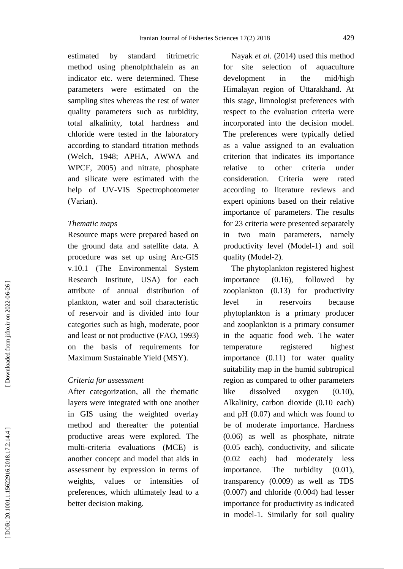estimated by standard titrimetric method using phenolphthalein as an indicator etc. were determined. These parameters were estimated on the sampling sites whereas the rest of water quality parameters such as turbidity, total alkalinity, total hardness and chloride were tested in the laboratory according to standard titration methods (Welch, 1948; APHA, AWWA and WPCF, 2005) and nitrate, phosphate and silicate were estimated with the help of UV -VIS Spectrophotometer (Varian).

### *Thematic maps*

Resource maps were prepared based on the ground data and satellite data. A procedure was set up using Arc -GIS v.10.1 (The Environmental System Research Institute, USA) for each attribute of annual distribution of plankton, water and soil characteristic of reservoir and is divided into four categories such as high, moderate, poor and least or not productive (FAO, 1993) on the basis of requirements for Maximum Sustainable Yield (MSY).

### *Criteria for assessment*

After categorization, all the thematic layers were integrated with one another in GIS using the weighted overlay method and thereafter the potential productive areas were explored. The multi -criteria evaluations (MCE) is another concept and model that aids in assessment by expression in terms of weights, values or intensities of preferences, which ultimately lead to a better decision making.

 Nayak *et al.* (2014) used this method for site selection of aquaculture development in the mid/high Himalayan region of Uttarakhand. At this stage, limnologist preferences with respect to the evaluation criteria were incorporated into the decision model. The preferences were typically defied as a value assigned to an evaluation criterion that indicates its importance relative to other criteria under consideration. Criteria were rated according to literature reviews and expert opinions based on their relative importance of parameters. The results for 23 criteria were presented separately in two main parameters, namely productivity level (Model -1) and soil quality (Model -2).

 The phytoplankton registered highest importance (0.16), followed by zooplankton (0.13) for productivity level in reservoirs because phytoplankton is a primary producer and zooplankton is a primary consumer in the aquatic food web. The water temperature registered highest importance (0.11) for water quality suitability map in the humid subtropical region as compared to other parameters like dissolved oxygen (0.10), Alkalinity, carbon dioxide (0.10 each) and pH (0.07) and which was found to be of moderate importance. Hardness (0.06) as well as phosphate, nitrate (0.05 each), conductivity, and silicate (0.02 each) had moderately less importance. The turbidity (0.01), transparency (0.009) as well as TDS (0.007) and chloride (0.004) had lesser importance for productivity as indicated in model -1. Similarly for soil quality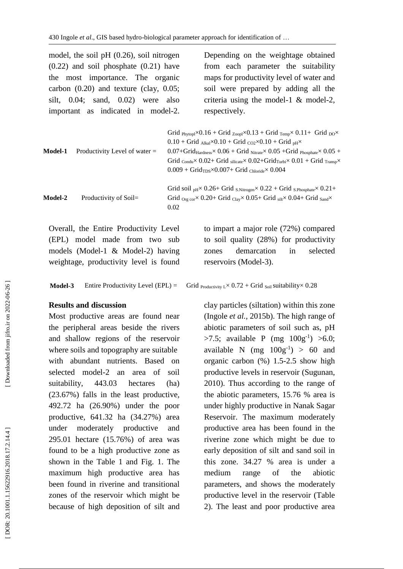model, the soil pH (0.26), soil nitrogen (0.22) and soil phosphate (0.21) have the most importance. The organic carbon (0.20) and texture (clay, 0.05; silt, 0.04; sand, 0.02) were also important as indicated in model -2.

Depending on the weightage obtained from each parameter the suitability maps for productivity level of water and soil were prepared by adding all the criteria using the model -1 & model -2, respectively.

| Model-1        | Productivity Level of water $=$ | Grid $p_{hvtoph} \times 0.16 +$ Grid $_{Zoopl} \times 0.13 +$ Grid $_{Temp} \times 0.11 +$ Grid $_{DO} \times$<br>$0.10 + 6$ rid <sub>Alkal</sub> ×0.10 + Grid <sub>CO2</sub> ×0.10 + Grid <sub>pH</sub> ×<br>$0.07 + 6$ rid $_{\text{Hardness}} \times 0.06 + 6$ rid Nitrate $\times 0.05 + 6$ rid Phosphate $\times 0.05 + 6$<br>Grid $_{\text{Condu}} \times 0.02 + \text{Grid}_{\text{silicate}} \times 0.02 + \text{Grid}_{\text{Turbi}} \times 0.01 + \text{Grid}_{\text{Transp}} \times$<br>$0.009 + \text{Grid}_{\text{TDS}} \times 0.007 + \text{Grid}_{\text{Chloride}} \times 0.004$ |
|----------------|---------------------------------|-------------------------------------------------------------------------------------------------------------------------------------------------------------------------------------------------------------------------------------------------------------------------------------------------------------------------------------------------------------------------------------------------------------------------------------------------------------------------------------------------------------------------------------------------------------------------------------------------|
| <b>Model-2</b> | Productivity of $Soil =$        | Grid soil $_{\text{pH}} \times 0.26 +$ Grid $_{\text{S.Nitrogen}} \times 0.22 +$ Grid $_{\text{S.Phosphate}} \times 0.21 +$<br>Grid <sub>Org cor</sub> $\times$ 0.20+ Grid <sub>Clay</sub> $\times$ 0.05+ Grid silt $\times$ 0.04+ Grid sand $\times$<br>0.02                                                                                                                                                                                                                                                                                                                                   |

Overall, the Entire Productivity Level (EPL) model made from two sub models (Model -1 & Model -2) having weightage, productivity level is found

**Model - 3** Entire Productivity Level (EPL)

## **Results and discussion**

Most productive areas are found near the peripheral areas beside the rivers and shallow regions of the reservoir where soils and topography are suitable with abundant nutrients. Based on selected model -2 an area of soil suitability, 443.03 hectares (ha) (23.67%) falls in the least productive, 492.72 ha (26.90%) under the poor productive, 641.32 ha (34.27%) area under moderately productive and 295.01 hectare (15.76%) of area was found to be a high productive zone as shown in the Table 1 and Fig. 1. The maximum high productive area has been found in riverine and transitional zones of the reservoir which might be because of high deposition of silt and

to impart a major role (72%) compared to soil quality (28%) for productivity zones demarcation in selected reservoirs (Model -3).

Grid Productivity L $\times$  0.72 + Grid <sub>Soil</sub> suitability $\times$  0.28

clay particles (siltation) within this zone (Ingole *et al.,* 2015 b). The high range of abiotic parameters of soil such as, pH >7.5; available P (mg  $100g^{-1}$ ) >6.0; available N  $(mg 100g^{-1}) > 60$  and organic carbon (%) 1.5 -2.5 show high productive levels in reservoir (Sugunan, 2010). Thus according to the range of the abiotic parameters, 15.76 % area is under highly productive in Nanak Sagar Reservoir. The maximum moderately productive area has been found in the riverine zone which might be due to early deposition of silt and sand soil in this zone. 34.27 % area is under a medium range of the abiotic parameters, and shows the moderately productive level in the reservoir (Table 2). The least and poor productive area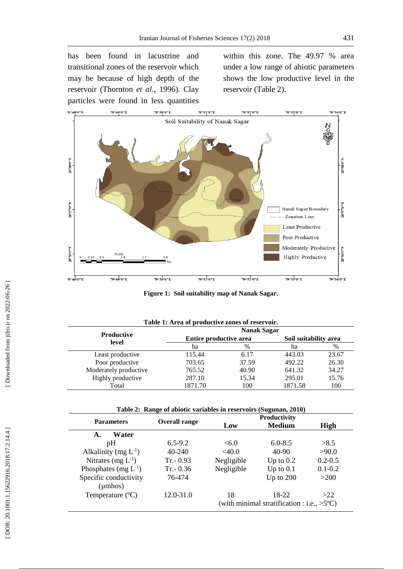has been found in lacustrine and transitional zones of the reservoir which may be because of high depth of the reservoir (Thornton *et al*., 1996). Clay particles were found in less quantities within this zone. The 49.97 % area under a low range of abiotic parameters shows the low productive level in the reservoir (Table 2).



Figure 1: Soil suitability map of Nanak Sagar.

| Table 1: Area of productive zones of reservoir. |                        |       |                       |       |  |
|-------------------------------------------------|------------------------|-------|-----------------------|-------|--|
|                                                 | <b>Nanak Sagar</b>     |       |                       |       |  |
| <b>Productive</b>                               | Entire productive area |       | Soil suitability area |       |  |
| level                                           | ha                     | $\%$  | ha                    | %     |  |
| Least productive                                | 115.44                 | 6.17  | 443.03                | 23.67 |  |
| Poor productive                                 | 703.65                 | 37.59 | 492.22                | 26.30 |  |
| Moderately productive                           | 765.52                 | 40.90 | 641.32                | 34.27 |  |
| Highly productive                               | 287.10                 | 15.34 | 295.01                | 15.76 |  |
| Total                                           | 1871.70                | 100   | 1871.58               | 100   |  |

|  |  |  |  | Table 2: Range of abiotic variables in reservoirs (Sugunan, 2010) |  |
|--|--|--|--|-------------------------------------------------------------------|--|
|--|--|--|--|-------------------------------------------------------------------|--|

|                           | Overall range | <b>Productivity</b> |                                                      |             |  |
|---------------------------|---------------|---------------------|------------------------------------------------------|-------------|--|
| <b>Parameters</b>         |               | Low                 | <b>Medium</b>                                        | <b>High</b> |  |
| Water<br>A.               |               |                     |                                                      |             |  |
| pΗ                        | $6.5 - 9.2$   | <6.0                | $6.0 - 8.5$                                          | >8.5        |  |
| Alkalinity (mg $L^{-1}$ ) | $40 - 240$    | <40.0               | $40 - 90$                                            | >90.0       |  |
| Nitrates $(mg L^{-1})$    | $Tr - 0.93$   | Negligible          | Up to $0.2$                                          | $0.2 - 0.5$ |  |
| Phosphates (mg $L^{-1}$ ) | $Tr - 0.36$   | Negligible          | Up to $0.1$                                          | $0.1 - 0.2$ |  |
| Specific conductivity     | 76-474        |                     | Up to $200$                                          | >200        |  |
| $(\mu$ mhos)              |               |                     |                                                      |             |  |
| Temperature $(^{\circ}C)$ | 12.0-31.0     | 18                  | 18-22                                                | >22         |  |
|                           |               |                     | (with minimal stratification : i.e., $>5^{\circ}C$ ) |             |  |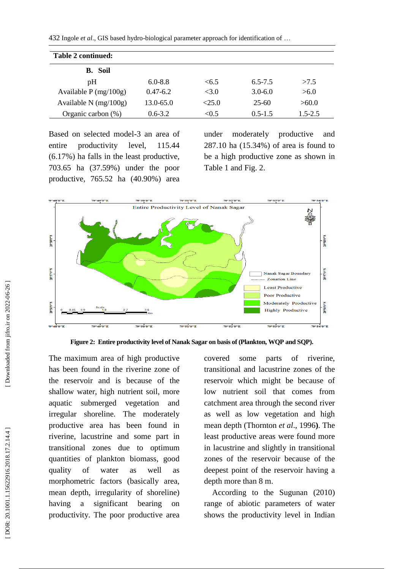432 Ingole *et al*., GIS based hydro -biological parameter approach for identification of …

| Table 2 continued:      |               |       |             |             |
|-------------------------|---------------|-------|-------------|-------------|
| <b>B.</b> Soil          |               |       |             |             |
| pΗ                      | $6.0 - 8.8$   | <6.5  | $6.5 - 7.5$ | >7.5        |
| Available $P$ (mg/100g) | $0.47-6.2$    | <3.0  | $3.0 - 6.0$ | >6.0        |
| Available N $(mg/100g)$ | $13.0 - 65.0$ | <25.0 | $25 - 60$   | >60.0       |
| Organic carbon $(\%)$   | $0.6 - 3.2$   | < 0.5 | $0.5 - 1.5$ | $1.5 - 2.5$ |

Based on selected model -3 an area of entire productivity level, 115.44 (6.17%) ha falls in the least productive, 703.65 ha (37.59%) under the poor productive, 765.52 ha (40.90%) area

under moderately productive and 287.10 ha (15.34%) of area is found to be a high productive zone as shown in Table 1 and Fig. 2.



Figure 2: Entire productivity level of Nanak Sagar on basis of (Plankton, WQP and SQP).

The maximum area of high productive has been found in the riverine zone of the reservoir and is because of the shallow water, high nutrient soil, more aquatic submerged vegetation and irregular shoreline. The moderately productive area has been found in riverine, lacustrine and some part in transitional zones due to optimum quantities of plankton biomass, good quality of water as well as morphometric factors (basically area, mean depth, irregularity of shoreline) having a significant bearing on productivity. The poor productive area covered some parts of riverine, transitional and lacustrine zones of the reservoir which might be because of low nutrient soil that comes from catchment area through the second river as well as low vegetation and high mean depth (Thornton *et al*., 1996 **)**. The least productive areas were found more in lacustrine and slightly in transitional zones of the reservoir because of the deepest point of the reservoir having a depth more than 8 m.

 According to the Sugunan (2010) range of abiotic parameters of water shows the productivity level in Indian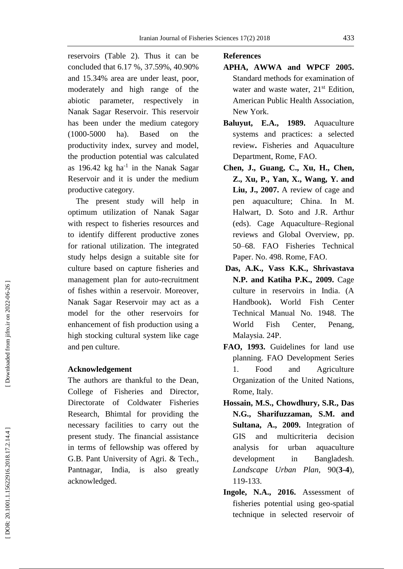reservoirs (Table 2). Thus it can be concluded that 6.17 %, 37.59%, 40.90% and 15.34% area are under least, poor, moderately and high range of the abiotic parameter, respectively in Nanak Sagar Reservoir . This reservoir has been under the medium category  $(1000 - 5000)$ ha). Based on the productivity index, survey and model, the production potential was calculated as  $196.42 \text{ kg}$  ha<sup>-1</sup> in the Nanak Sagar Reservoir and it is under the medium productive category.

 The present study will help in optimum utilization of Nanak Sagar with respect to fisheries resources and to identify different productive zones for rational utilization. The integrated study helps design a suitable site for culture based on capture fisheries and management plan for auto -recruitment of fishes within a reservoir. Moreover, Nanak Sagar Reservoir may act as a model for the other reservoirs for enhancement of fish production using a high stocking cultural system like cage and pen culture.

## **Acknowledgement**

The authors are thankful to the Dean, College of Fisheries and Director, Directorate of Coldwater Fisheries Research, Bhimtal for providing the necessary facilities to carry out the present study. The financial assistance in terms of fellowship was offered by G.B. Pant University of Agri. & Tech., Pantnagar, India, is also greatly acknowledged.

## **References**

- **APHA, AWWA and WPCF 2005.** Standard methods for examination of water and waste water, 21<sup>st</sup> Edition, American Public Health Association, New York.
- **Baluyut, E.A., 1989.** Aquaculture systems and practices: a selected review **.** Fisheries and Aquaculture Department, Rome, FAO.
- **Chen, J., Guang , C., Xu , H., Chen , Z., Xu , P., Yan , X., Wang , Y. and Liu , J., 2007.** A review of cage and pen aquaculture; China. In M. Halwart, D. Soto and J.R. Arthur (eds). Cage Aquaculture –Regional reviews and Global Overview, pp. 50 –68. FAO Fisheries Technical Paper. No. 498. Rome, FAO.
- **Das, A.K., Vass K.K., Shrivastava N.P. and Katiha P.K., 2009.** Cage culture in reservoirs in India. (A Handbook) **.** World Fish Center Technical Manual No. 1948. The World Fish Center, Penang, Malaysia. 24 P .
- **FAO, 1993.** Guidelines for land use planning. FAO Development Series 1. Food and Agriculture Organization of the United Nations, Rome, Italy.
- **Hossain, M.S., Chowdhury, S.R., Das N.G., Sharifuzzaman, S.M. and Sultana, A., 2009.** Integration of GIS and multicriteria decision analysis for urban aquaculture development in Bangladesh. Landscape Urban Plan, 90(3-4), 119 -133.
- **Ingole, N.A., 2016.** Assessment of fisheries potential using geo -spatial technique in selected reservoir of